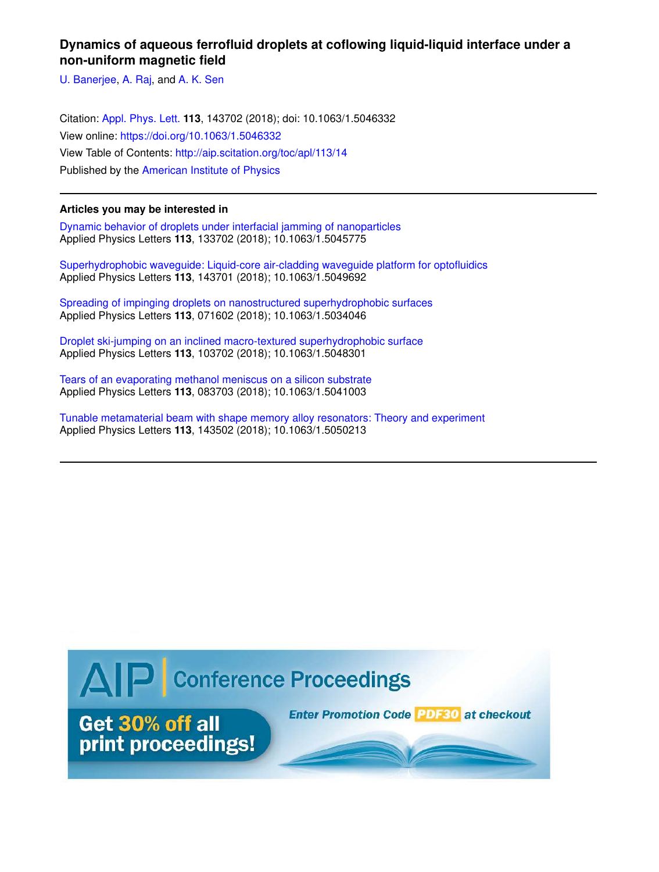## **Dynamics of aqueous ferrofluid droplets at coflowing liquid-liquid interface under a non-uniform magnetic field**

U. Banerjee, A. Raj, and A. K. Sen

Citation: Appl. Phys. Lett. **113**, 143702 (2018); doi: 10.1063/1.5046332 View online: https://doi.org/10.1063/1.5046332 View Table of Contents: http://aip.scitation.org/toc/apl/113/14 Published by the American Institute of Physics

## **Articles you may be interested in**

Dynamic behavior of droplets under interfacial jamming of nanoparticles Applied Physics Letters **113**, 133702 (2018); 10.1063/1.5045775

Superhydrophobic waveguide: Liquid-core air-cladding waveguide platform for optofluidics Applied Physics Letters **113**, 143701 (2018); 10.1063/1.5049692

Spreading of impinging droplets on nanostructured superhydrophobic surfaces Applied Physics Letters **113**, 071602 (2018); 10.1063/1.5034046

Droplet ski-jumping on an inclined macro-textured superhydrophobic surface Applied Physics Letters **113**, 103702 (2018); 10.1063/1.5048301

Tears of an evaporating methanol meniscus on a silicon substrate Applied Physics Letters **113**, 083703 (2018); 10.1063/1.5041003

Tunable metamaterial beam with shape memory alloy resonators: Theory and experiment Applied Physics Letters **113**, 143502 (2018); 10.1063/1.5050213

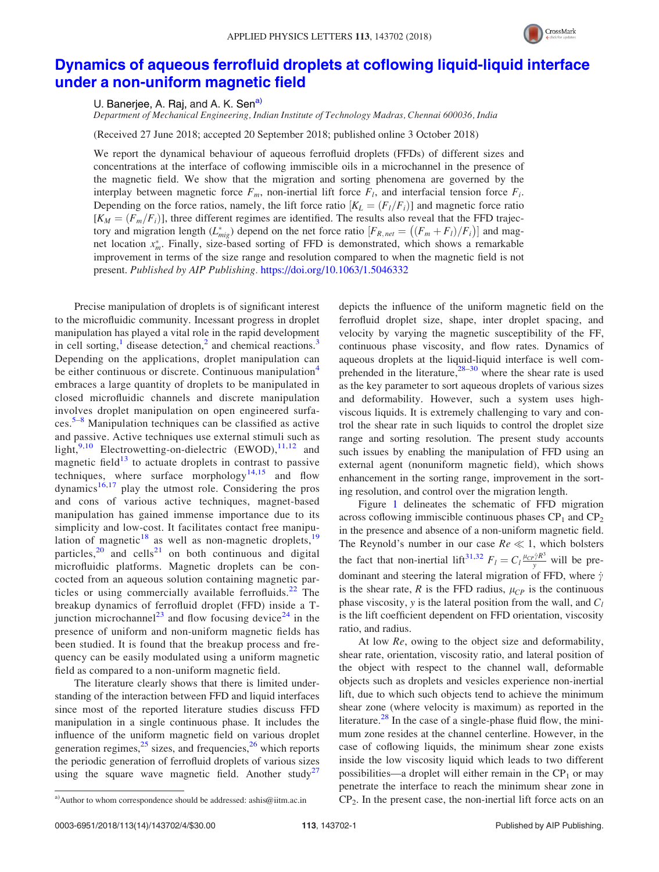

## Dynamics of aqueous ferrofluid droplets at coflowing liquid-liquid interface under a non-uniform magnetic field

U. Banerjee, A. Raj, and A. K. Sen<sup>a)</sup>

Department of Mechanical Engineering, Indian Institute of Technology Madras, Chennai 600036, India

(Received 27 June 2018; accepted 20 September 2018; published online 3 October 2018)

We report the dynamical behaviour of aqueous ferrofluid droplets (FFDs) of different sizes and concentrations at the interface of coflowing immiscible oils in a microchannel in the presence of the magnetic field. We show that the migration and sorting phenomena are governed by the interplay between magnetic force  $F_m$ , non-inertial lift force  $F_l$ , and interfacial tension force  $F_i$ . Depending on the force ratios, namely, the lift force ratio  $|K_L = (F_I/F_i)$  and magnetic force ratio  $[K_M = (F_m/F_i )]$ , three different regimes are identified. The results also reveal that the FFD trajectory and migration length  $(L_{mig}^*)$  depend on the net force ratio  $[F_{R,net} = ((F_m + F_l)/F_i)]$  and magnet location  $x_m^*$ . Finally, size-based sorting of FFD is demonstrated, which shows a remarkable improvement in terms of the size range and resolution compared to when the magnetic field is not present. Published by AIP Publishing. https://doi.org/10.1063/1.5046332

Precise manipulation of droplets is of significant interest to the microfluidic community. Incessant progress in droplet manipulation has played a vital role in the rapid development in cell sorting,<sup>1</sup> disease detection,<sup>2</sup> and chemical reactions.<sup>3</sup> Depending on the applications, droplet manipulation can be either continuous or discrete. Continuous manipulation<sup>4</sup> embraces a large quantity of droplets to be manipulated in closed microfluidic channels and discrete manipulation involves droplet manipulation on open engineered surfaces.5–8 Manipulation techniques can be classified as active and passive. Active techniques use external stimuli such as light,<sup>9,10</sup> Electrowetting-on-dielectric  $(EWOD)$ ,<sup>11,12</sup> and magnetic field<sup>13</sup> to actuate droplets in contrast to passive techniques, where surface morphology<sup>14,15</sup> and flow dynamics $16,17$  play the utmost role. Considering the pros and cons of various active techniques, magnet-based manipulation has gained immense importance due to its simplicity and low-cost. It facilitates contact free manipulation of magnetic<sup>18</sup> as well as non-magnetic droplets,<sup>19</sup> particles, $20$  and cells<sup>21</sup> on both continuous and digital microfluidic platforms. Magnetic droplets can be concocted from an aqueous solution containing magnetic particles or using commercially available ferrofluids.<sup>22</sup> The breakup dynamics of ferrofluid droplet (FFD) inside a Tjunction microchannel<sup>23</sup> and flow focusing device<sup>24</sup> in the presence of uniform and non-uniform magnetic fields has been studied. It is found that the breakup process and frequency can be easily modulated using a uniform magnetic field as compared to a non-uniform magnetic field.

The literature clearly shows that there is limited understanding of the interaction between FFD and liquid interfaces since most of the reported literature studies discuss FFD manipulation in a single continuous phase. It includes the influence of the uniform magnetic field on various droplet generation regimes, $2^5$  sizes, and frequencies, $2^6$  which reports the periodic generation of ferrofluid droplets of various sizes using the square wave magnetic field. Another study<sup>27</sup> depicts the influence of the uniform magnetic field on the ferrofluid droplet size, shape, inter droplet spacing, and velocity by varying the magnetic susceptibility of the FF, continuous phase viscosity, and flow rates. Dynamics of aqueous droplets at the liquid-liquid interface is well comprehended in the literature,  $28-30$  where the shear rate is used as the key parameter to sort aqueous droplets of various sizes and deformability. However, such a system uses highviscous liquids. It is extremely challenging to vary and control the shear rate in such liquids to control the droplet size range and sorting resolution. The present study accounts such issues by enabling the manipulation of FFD using an external agent (nonuniform magnetic field), which shows enhancement in the sorting range, improvement in the sorting resolution, and control over the migration length.

Figure 1 delineates the schematic of FFD migration across coflowing immiscible continuous phases  $\text{CP}_1$  and  $\text{CP}_2$ in the presence and absence of a non-uniform magnetic field. The Reynold's number in our case  $Re \ll 1$ , which bolsters the fact that non-inertial lift<sup>31,32</sup>  $F_l = C_l \frac{\mu_{CP} \dot{\gamma} R^3}{y}$  will be predominant and steering the lateral migration of FFD, where  $\dot{\gamma}$ is the shear rate, R is the FFD radius,  $\mu_{CP}$  is the continuous phase viscosity, y is the lateral position from the wall, and  $C_l$ is the lift coefficient dependent on FFD orientation, viscosity ratio, and radius.

At low Re, owing to the object size and deformability, shear rate, orientation, viscosity ratio, and lateral position of the object with respect to the channel wall, deformable objects such as droplets and vesicles experience non-inertial lift, due to which such objects tend to achieve the minimum shear zone (where velocity is maximum) as reported in the literature.<sup>28</sup> In the case of a single-phase fluid flow, the minimum zone resides at the channel centerline. However, in the case of coflowing liquids, the minimum shear zone exists inside the low viscosity liquid which leads to two different possibilities—a droplet will either remain in the  $CP<sub>1</sub>$  or may penetrate the interface to reach the minimum shear zone in a) Author to whom correspondence should be addressed: ashis@iitm.ac.in  $CP_2$ . In the present case, the non-inertial lift force acts on an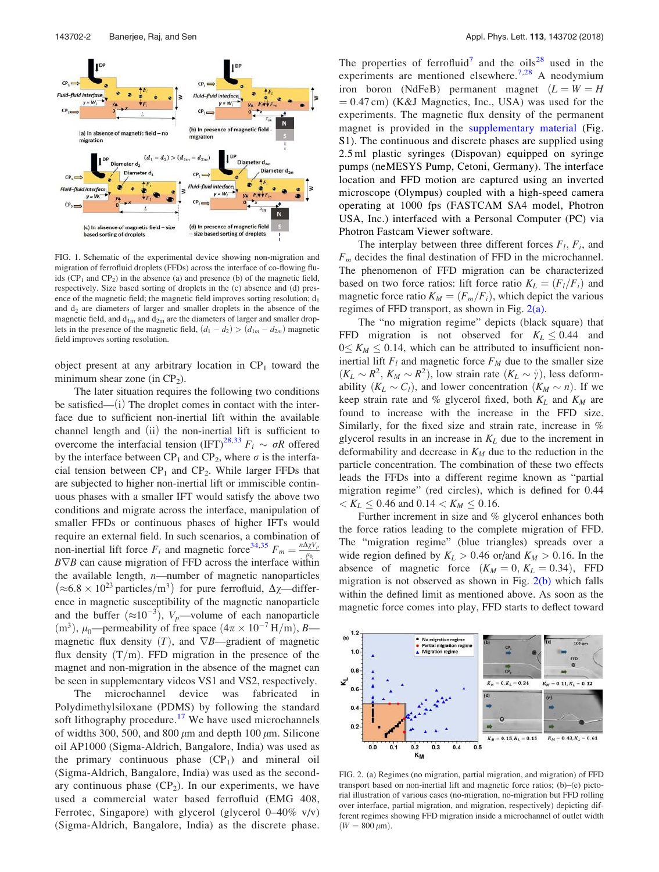

FIG. 1. Schematic of the experimental device showing non-migration and migration of ferrofluid droplets (FFDs) across the interface of co-flowing fluids  $(CP_1$  and  $CP_2$ ) in the absence (a) and presence (b) of the magnetic field, respectively. Size based sorting of droplets in the (c) absence and (d) presence of the magnetic field; the magnetic field improves sorting resolution;  $d_1$ and  $d_2$  are diameters of larger and smaller droplets in the absence of the magnetic field, and  $d_{1m}$  and  $d_{2m}$  are the diameters of larger and smaller droplets in the presence of the magnetic field,  $(d_1 - d_2) > (d_{1m} - d_{2m})$  magnetic field improves sorting resolution.

object present at any arbitrary location in  $\mathbb{CP}_1$  toward the minimum shear zone (in  $CP_2$ ).

The later situation requires the following two conditions be satisfied— $(i)$  The droplet comes in contact with the interface due to sufficient non-inertial lift within the available channel length and  $(ii)$  the non-inertial lift is sufficient to overcome the interfacial tension (IFT)<sup>28,33</sup>  $F_i \sim \sigma R$  offered by the interface between CP<sub>1</sub> and CP<sub>2</sub>, where  $\sigma$  is the interfacial tension between  $CP_1$  and  $CP_2$ . While larger FFDs that are subjected to higher non-inertial lift or immiscible continuous phases with a smaller IFT would satisfy the above two conditions and migrate across the interface, manipulation of smaller FFDs or continuous phases of higher IFTs would require an external field. In such scenarios, a combination of non-inertial lift force  $F_i$  and magnetic force<sup>34,35</sup>  $F_m = \frac{n\Delta\chi V_p}{\mu_0}$  $\mu_0$  $B\nabla B$  can cause migration of FFD across the interface within the available length,  $n$ —number of magnetic nanoparticles  $(\approx 6.8 \times 10^{23} \text{ particles/m}^3)$  for pure ferrofluid,  $\Delta \chi$ —difference in magnetic susceptibility of the magnetic nanoparticle and the buffer  $(\approx 10^{-3})$ ,  $V_p$ —volume of each nanoparticle (m<sup>3</sup>),  $\mu_0$ —permeability of free space  $(4\pi \times 10^{-7} \text{ H/m})$ , B magnetic flux density  $(T)$ , and  $\nabla B$ —gradient of magnetic flux density  $(T/m)$ . FFD migration in the presence of the magnet and non-migration in the absence of the magnet can be seen in supplementary videos VS1 and VS2, respectively.

The microchannel device was fabricated in Polydimethylsiloxane (PDMS) by following the standard soft lithography procedure.<sup>17</sup> We have used microchannels of widths 300, 500, and 800  $\mu$ m and depth 100  $\mu$ m. Silicone oil AP1000 (Sigma-Aldrich, Bangalore, India) was used as the primary continuous phase  $(CP_1)$  and mineral oil (Sigma-Aldrich, Bangalore, India) was used as the secondary continuous phase  $(CP_2)$ . In our experiments, we have used a commercial water based ferrofluid (EMG 408, Ferrotec, Singapore) with glycerol (glycerol  $0-40\%$  v/v) (Sigma-Aldrich, Bangalore, India) as the discrete phase.

The properties of ferrofluid<sup>7</sup> and the oils<sup>28</sup> used in the experiments are mentioned elsewhere.<sup>7,28</sup> A neodymium iron boron (NdFeB) permanent magnet  $(L = W = H)$  $= 0.47$  cm) (K&J Magnetics, Inc., USA) was used for the experiments. The magnetic flux density of the permanent magnet is provided in the supplementary material (Fig. S1). The continuous and discrete phases are supplied using 2.5 ml plastic syringes (Dispovan) equipped on syringe pumps (neMESYS Pump, Cetoni, Germany). The interface location and FFD motion are captured using an inverted microscope (Olympus) coupled with a high-speed camera operating at 1000 fps (FASTCAM SA4 model, Photron USA, Inc.) interfaced with a Personal Computer (PC) via Photron Fastcam Viewer software.

The interplay between three different forces  $F_l$ ,  $F_i$ , and  $F_m$  decides the final destination of FFD in the microchannel. The phenomenon of FFD migration can be characterized based on two force ratios: lift force ratio  $K_L = (F_l/F_i)$  and magnetic force ratio  $K_M = (F_m/F_i)$ , which depict the various regimes of FFD transport, as shown in Fig. 2(a).

The "no migration regime" depicts (black square) that FFD migration is not observed for  $K_L \leq 0.44$  and  $0 \leq K_M \leq 0.14$ , which can be attributed to insufficient noninertial lift  $F_l$  and magnetic force  $F_M$  due to the smaller size  $(K_L \sim R^2, K_M \sim R^2)$ , low strain rate  $(K_L \sim \dot{\gamma})$ , less deformability  $(K_L \sim C_l)$ , and lower concentration  $(K_M \sim n)$ . If we keep strain rate and % glycerol fixed, both  $K_L$  and  $K_M$  are found to increase with the increase in the FFD size. Similarly, for the fixed size and strain rate, increase in % glycerol results in an increase in  $K_L$  due to the increment in deformability and decrease in  $K_M$  due to the reduction in the particle concentration. The combination of these two effects leads the FFDs into a different regime known as "partial migration regime" (red circles), which is defined for 0:44  $K_L \leq 0.46$  and  $0.14 < K_M \leq 0.16$ .

Further increment in size and % glycerol enhances both the force ratios leading to the complete migration of FFD. The "migration regime" (blue triangles) spreads over a wide region defined by  $K_L > 0.46$  or/and  $K_M > 0.16$ . In the absence of magnetic force  $(K_M = 0, K_L = 0.34)$ , FFD migration is not observed as shown in Fig.  $2(b)$  which falls within the defined limit as mentioned above. As soon as the magnetic force comes into play, FFD starts to deflect toward



FIG. 2. (a) Regimes (no migration, partial migration, and migration) of FFD transport based on non-inertial lift and magnetic force ratios; (b)–(e) pictorial illustration of various cases (no-migration, no-migration but FFD rolling over interface, partial migration, and migration, respectively) depicting different regimes showing FFD migration inside a microchannel of outlet width  $(W = 800 \,\mu m)$ .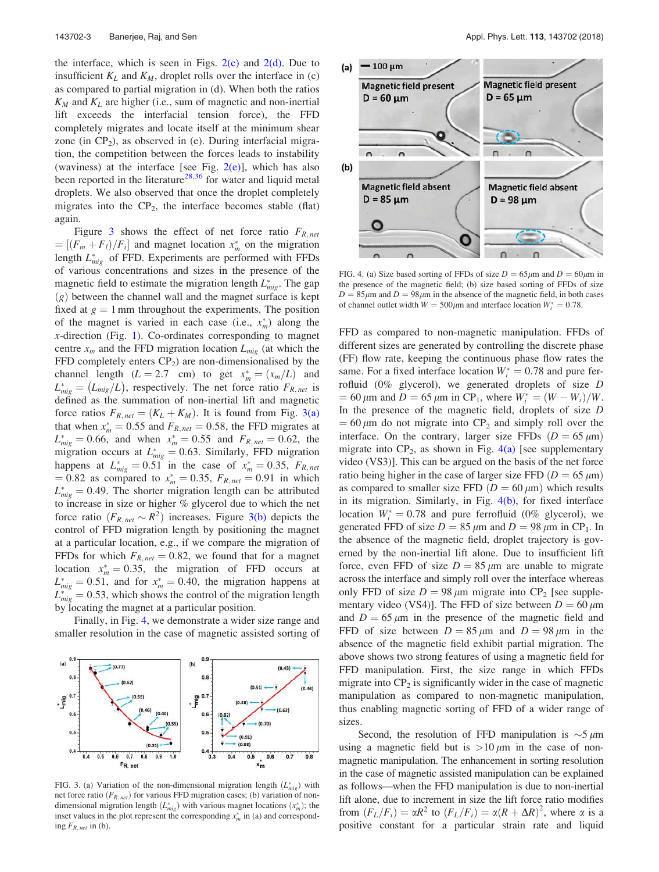the interface, which is seen in Figs.  $2(c)$  and  $2(d)$ . Due to insufficient  $K_L$  and  $K_M$ , droplet rolls over the interface in (c) as compared to partial migration in (d). When both the ratios  $K_M$  and  $K_L$  are higher (i.e., sum of magnetic and non-inertial lift exceeds the interfacial tension force), the FFD completely migrates and locate itself at the minimum shear zone (in  $CP_2$ ), as observed in (e). During interfacial migration, the competition between the forces leads to instability (waviness) at the interface [see Fig.  $2(e)$ ], which has also been reported in the literature<sup>28,36</sup> for water and liquid metal droplets. We also observed that once the droplet completely migrates into the  $CP_2$ , the interface becomes stable (flat) again.

Figure 3 shows the effect of net force ratio  $F_{R, net}$  $= [(F_m + F_l)/F_i]$  and magnet location  $x_m^*$  on the migration length  $L_{mig}^*$  of FFD. Experiments are performed with FFDs of various concentrations and sizes in the presence of the magnetic field to estimate the migration length  $L_{mig}^*$ . The gap  $(g)$  between the channel wall and the magnet surface is kept fixed at  $g = 1$  mm throughout the experiments. The position of the magnet is varied in each case (i.e.,  $x_m^*$ ) along the x-direction (Fig. 1). Co-ordinates corresponding to magnet centre  $x_m$  and the FFD migration location  $L_{mig}$  (at which the FFD completely enters  $CP<sub>2</sub>$ ) are non-dimensionalised by the channel length  $(L = 2.7 \text{ cm})$  to get  $x_m^* = (x_m/L)$  and  $L_{mig}^* = (L_{mig}/L)$ , respectively. The net force ratio  $F_{R,net}$  is defined as the summation of non-inertial lift and magnetic force ratios  $F_{R,net} = (K_L + K_M)$ . It is found from Fig. 3(a) that when  $x_m^* = 0.55$  and  $F_{R,net} = 0.58$ , the FFD migrates at  $L_{mig}^* = 0.66$ , and when  $x_m^* = 0.55$  and  $F_{R,net} = 0.62$ , the migration occurs at  $L_{mig}^* = 0.63$ . Similarly, FFD migration happens at  $L_{mig}^* = 0.51$  in the case of  $x_m^* = 0.35$ ,  $F_{R,net}$  $= 0.82$  as compared to  $x_m^* = 0.35$ ,  $F_{R,net} = 0.91$  in which  $L_{mig}^* = 0.49$ . The shorter migration length can be attributed to increase in size or higher % glycerol due to which the net force ratio  $(F_{R,net} \sim R^2)$  increases. Figure 3(b) depicts the control of FFD migration length by positioning the magnet at a particular location, e.g., if we compare the migration of FFDs for which  $F_{R,net} = 0.82$ , we found that for a magnet location  $x_m^* = 0.35$ , the migration of FFD occurs at  $L_{mig}^* = 0.51$ , and for  $x_m^* = 0.40$ , the migration happens at  $L_{mig}^* = 0.53$ , which shows the control of the migration length by locating the magnet at a particular position.

Finally, in Fig. 4, we demonstrate a wider size range and smaller resolution in the case of magnetic assisted sorting of



FIG. 3. (a) Variation of the non-dimensional migration length  $(L_{mig}^*)$  with net force ratio  $(F_{R,net})$  for various FFD migration cases; (b) variation of nondimensional migration length  $(L_{mig}^*)$  with various magnet locations  $(x_m^*)$ ; the inset values in the plot represent the corresponding  $x_m^*$  in (a) and corresponding  $F_{R,net}$  in (b).



FIG. 4. (a) Size based sorting of FFDs of size  $D = 65 \mu m$  and  $D = 60 \mu m$  in the presence of the magnetic field; (b) size based sorting of FFDs of size  $D = 85 \mu m$  and  $D = 98 \mu m$  in the absence of the magnetic field, in both cases of channel outlet width  $W = 500 \mu m$  and interface location  $W_i^* = 0.78$ .

FFD as compared to non-magnetic manipulation. FFDs of different sizes are generated by controlling the discrete phase (FF) flow rate, keeping the continuous phase flow rates the same. For a fixed interface location  $W_i^* = 0.78$  and pure ferrofluid (0% glycerol), we generated droplets of size D = 60  $\mu$ m and D = 65  $\mu$ m in CP<sub>1</sub>, where  $W_i^* = (W - W_i)/W$ . In the presence of the magnetic field, droplets of size D  $= 60 \mu m$  do not migrate into CP<sub>2</sub> and simply roll over the interface. On the contrary, larger size FFDs  $(D = 65 \mu m)$ migrate into  $CP_2$ , as shown in Fig. 4(a) [see supplementary video (VS3)]. This can be argued on the basis of the net force ratio being higher in the case of larger size FFD  $(D = 65 \,\mu m)$ as compared to smaller size FFD  $(D = 60 \,\mu\text{m})$  which results in its migration. Similarly, in Fig.  $4(b)$ , for fixed interface location  $W_i^* = 0.78$  and pure ferrofluid (0% glycerol), we generated FFD of size  $D = 85 \mu m$  and  $D = 98 \mu m$  in CP<sub>1</sub>. In the absence of the magnetic field, droplet trajectory is governed by the non-inertial lift alone. Due to insufficient lift force, even FFD of size  $D = 85 \mu m$  are unable to migrate across the interface and simply roll over the interface whereas only FFD of size  $D = 98 \mu m$  migrate into CP<sub>2</sub> [see supplementary video (VS4)]. The FFD of size between  $D = 60 \mu m$ and  $D = 65 \mu m$  in the presence of the magnetic field and FFD of size between  $D = 85 \mu m$  and  $D = 98 \mu m$  in the absence of the magnetic field exhibit partial migration. The above shows two strong features of using a magnetic field for FFD manipulation. First, the size range in which FFDs migrate into  $\text{CP}_2$  is significantly wider in the case of magnetic manipulation as compared to non-magnetic manipulation, thus enabling magnetic sorting of FFD of a wider range of sizes.

Second, the resolution of FFD manipulation is  $\sim$  5  $\mu$ m using a magnetic field but is  $>10 \mu m$  in the case of nonmagnetic manipulation. The enhancement in sorting resolution in the case of magnetic assisted manipulation can be explained as follows—when the FFD manipulation is due to non-inertial lift alone, due to increment in size the lift force ratio modifies from  $(F_L/F_i) = \alpha R^2$  to  $(F_L/F_i) = \alpha (R + \Delta R)^2$ , where  $\alpha$  is a positive constant for a particular strain rate and liquid